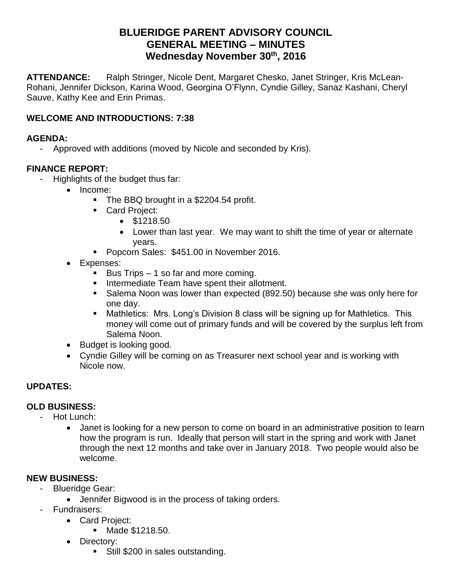# **BLUERIDGE PARENT ADVISORY COUNCIL GENERAL MEETING – MINUTES Wednesday November 30th, 2016**

**ATTENDANCE:** Ralph Stringer, Nicole Dent, Margaret Chesko, Janet Stringer, Kris McLean-Rohani, Jennifer Dickson, Karina Wood, Georgina O'Flynn, Cyndie Gilley, Sanaz Kashani, Cheryl Sauve, Kathy Kee and Erin Primas.

### **WELCOME AND INTRODUCTIONS: 7:38**

#### **AGENDA:**

- Approved with additions (moved by Nicole and seconded by Kris).

#### **FINANCE REPORT:**

- Highlights of the budget thus far:
	- Income:
		- The BBQ brought in a \$2204.54 profit.
		- **Card Project:** 
			- $\bullet$  \$1218.50
			- Lower than last year. We may want to shift the time of year or alternate years.
		- **Popcorn Sales: \$451.00 in November 2016.**
	- Expenses:
		- Bus Trips  $-1$  so far and more coming.
		- **Intermediate Team have spent their allotment.**
		- Salema Noon was lower than expected (892.50) because she was only here for one day.
		- Mathletics: Mrs. Long's Division 8 class will be signing up for Mathletics. This money will come out of primary funds and will be covered by the surplus left from Salema Noon.
	- Budget is looking good.
	- Cyndie Gilley will be coming on as Treasurer next school year and is working with Nicole now.

### **UPDATES:**

### **OLD BUSINESS:**

- Hot Lunch:
	- Janet is looking for a new person to come on board in an administrative position to learn how the program is run. Ideally that person will start in the spring and work with Janet through the next 12 months and take over in January 2018. Two people would also be welcome.

### **NEW BUSINESS:**

- Blueridge Gear:
	- Jennifer Bigwood is in the process of taking orders.
- Fundraisers:
	- Card Project:
		- Made \$1218.50.
	- Directory:
		- **Still \$200 in sales outstanding.**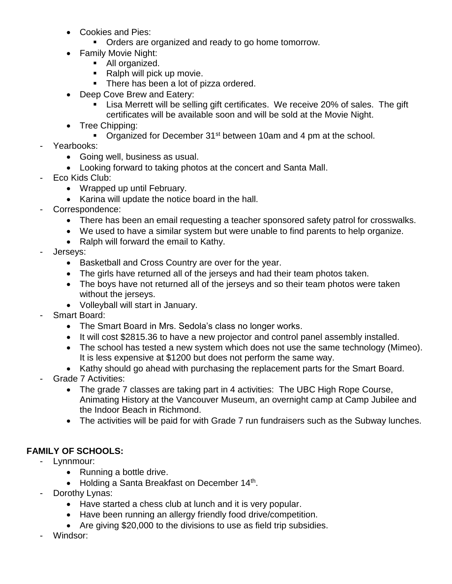- Cookies and Pies:
	- **Orders are organized and ready to go home tomorrow.**
- Family Movie Night:
	- All organized.
	- Ralph will pick up movie.
	- **There has been a lot of pizza ordered.**
- Deep Cove Brew and Eatery:
	- Lisa Merrett will be selling gift certificates. We receive 20% of sales. The gift certificates will be available soon and will be sold at the Movie Night.
- Tree Chipping:
	- Organized for December 31<sup>st</sup> between 10am and 4 pm at the school.
- Yearbooks:
	- Going well, business as usual.
	- Looking forward to taking photos at the concert and Santa Mall.
- Eco Kids Club:
	- Wrapped up until February.
	- Karina will update the notice board in the hall.
- Correspondence:
	- There has been an email requesting a teacher sponsored safety patrol for crosswalks.
	- We used to have a similar system but were unable to find parents to help organize.
	- Ralph will forward the email to Kathy.
- Jerseys:
	- Basketball and Cross Country are over for the year.
	- The girls have returned all of the jerseys and had their team photos taken.
	- The boys have not returned all of the jerseys and so their team photos were taken without the jerseys.
	- Volleyball will start in January.
- Smart Board:
	- The Smart Board in Mrs. Sedola's class no longer works.
	- It will cost \$2815.36 to have a new projector and control panel assembly installed.
	- The school has tested a new system which does not use the same technology (Mimeo). It is less expensive at \$1200 but does not perform the same way.
	- Kathy should go ahead with purchasing the replacement parts for the Smart Board.
- Grade 7 Activities:
	- The grade 7 classes are taking part in 4 activities: The UBC High Rope Course, Animating History at the Vancouver Museum, an overnight camp at Camp Jubilee and the Indoor Beach in Richmond.
	- The activities will be paid for with Grade 7 run fundraisers such as the Subway lunches.

### **FAMILY OF SCHOOLS:**

- Lynnmour:
	- Running a bottle drive.
	- Holding a Santa Breakfast on December 14<sup>th</sup>.
- Dorothy Lynas:
	- Have started a chess club at lunch and it is very popular.
	- Have been running an allergy friendly food drive/competition.
	- Are giving \$20,000 to the divisions to use as field trip subsidies.
- Windsor: